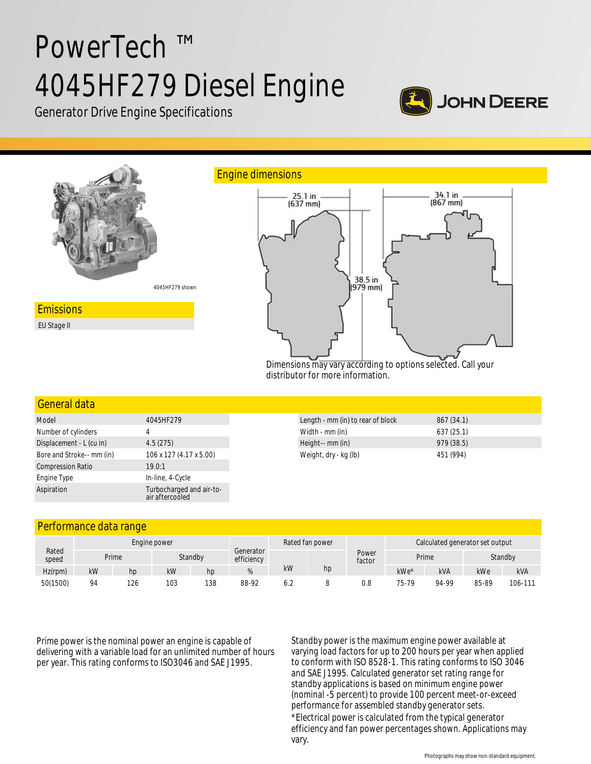# PowerTech ™ 4045HF279 Diesel Engine



Generator Drive Engine Specifications



Dimensions may vary according to options selected. Call your distributor for more information.

#### General data

| Model                     | 4045HF279                                   |
|---------------------------|---------------------------------------------|
| Number of cylinders       | 4                                           |
| Displacement - L (cu in)  | 4.5(275)                                    |
| Bore and Stroke-- mm (in) | 106 x 127 (4.17 x 5.00)                     |
| <b>Compression Ratio</b>  | 19.0:1                                      |
| Engine Type               | In-line, 4-Cycle                            |
| Aspiration                | Turbocharged and air-to-<br>air aftercooled |

| Length - mm (in) to rear of block | 867(34.1)  |  |
|-----------------------------------|------------|--|
| Width - mm (in)                   | 637(25.1)  |  |
| Height-- mm (in)                  | 979 (38.5) |  |
| Weight, dry - kg (lb)             | 451 (994)  |  |

### Performance data range

|                |              | . . |     |         |            |           |                 |                 |                                 |            |         |            |
|----------------|--------------|-----|-----|---------|------------|-----------|-----------------|-----------------|---------------------------------|------------|---------|------------|
|                | Engine power |     |     |         |            |           | Rated fan power |                 | Calculated generator set output |            |         |            |
| Rated<br>speed | Prime        |     |     | Standby | efficiency | Generator |                 | Power<br>factor | Prime                           |            | Standby |            |
| Hz(rpm)        | kW           | hp  | kW  | hp      |            | kW        | hp              |                 | kWe*                            | <b>kVA</b> | kWe     | <b>kVA</b> |
| 50(1500)       | 94           | 126 | 103 | 138     | 88-92      |           |                 | 0.8             | 75-79                           | 94-99      | 85-89   | 106-111    |

Prime power is the nominal power an engine is capable of delivering with a variable load for an unlimited number of hours per year. This rating conforms to ISO3046 and SAE J1995.

Standby power is the maximum engine power available at varying load factors for up to 200 hours per year when applied to conform with ISO 8528-1. This rating conforms to ISO 3046 and SAE J1995. Calculated generator set rating range for standby applications is based on minimum engine power (nominal -5 percent) to provide 100 percent meet-or-exceed performance for assembled standby generator sets. \*Electrical power is calculated from the typical generator efficiency and fan power percentages shown. Applications may vary.